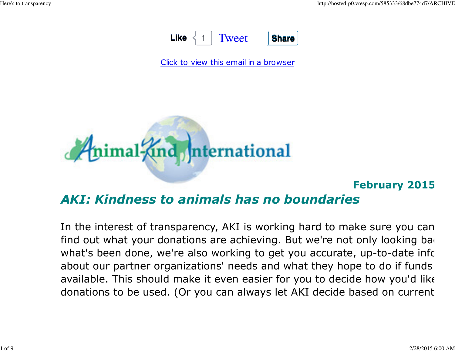

Click to view this email in a browser



#### February 2015

### AKI: Kindness to animals has no boundaries

In the interest of transparency, AKI is working hard to make sure you can efind out what your donations are achieving. But we're not only looking back what's been done, we're also working to get you accurate, up-to-date infor about our partner organizations' needs and what they hope to do if funds available. This should make it even easier for you to decide how you'd like donations to be used. (Or you can always let AKI decide based on current n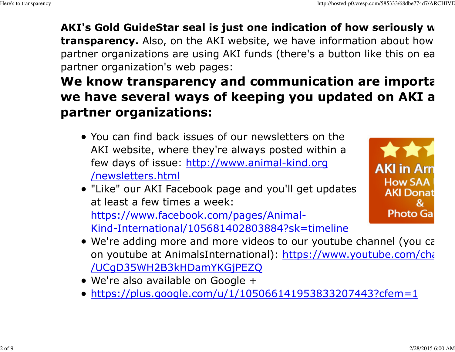### AKI's Gold GuideStar seal is just one indication of how seriously w transparency. Also, on the AKI website, we have information about how partner organizations are using AKI funds (there's a button like this on ea partner organization's web pages:

# We know transparency and communication are importa we have several ways of keeping you updated on AKI a partner organizations:

- You can find back issues of our newsletters on the AKI website, where they're always posted within afew days of issue: http://www.animal-kind.org /newsletters.html
- "Like" our AKI Facebook page and you'll get updatesat least a few times a week: https://www.facebook.com/pages/Animal-Kind-International/105681402803884?sk=timeline



- We're adding more and more videos to our youtube channel (you can on youtube at AnimalsInternational): <u>https://www.youtube.com/cha</u> /UCgD35WH2B3kHDamYKGjPEZQ
- We're also available on Google +
- https://plus.google.com/u/1/105066141953833207443?cfem=1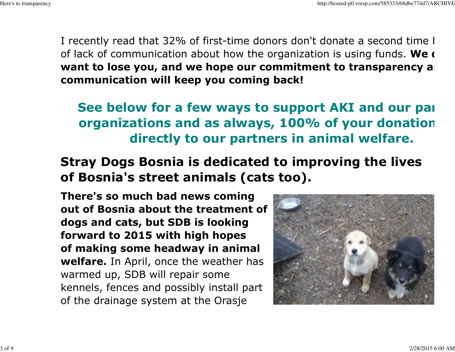I recently read that 32% of first-time donors don't donate a second time I of lack of communication about how the organization is using funds. We  $\epsilon$ want to lose you, and we hope our commitment to transparency and communication will keep you coming back!

See below for a few ways to support AKI and our part organizations and as always, 100% of your donation directly to our partners in animal welfare.

Stray Dogs Bosnia is dedicated to improving the livesof Bosnia's street animals (cats too).

There's so much bad news coming out of Bosnia about the treatment ofdogs and cats, but SDB is looking forward to 2015 with high hopes of making some headway in animalwelfare. In April, once the weather has warmed up, SDB will repair some kennels, fences and possibly install partof the drainage system at the Orasje

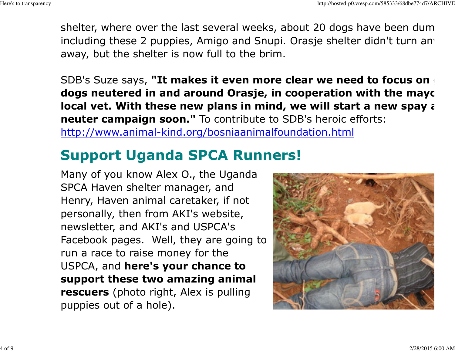shelter, where over the last several weeks, about 20 dogs have been dumpincluding these 2 puppies, Amigo and Snupi. Orasje shelter didn't turn anv away, but the shelter is now full to the brim.

SDB's Suze says, "It makes it even more clear we need to focus on dogs neutered in and around Orasje, in cooperation with the mayc local vet. With these new plans in mind, we will start a new spay  $\epsilon$ neuter campaign soon." To contribute to SDB's heroic efforts: http://www.animal-kind.org/bosniaanimalfoundation.html

# Support Uganda SPCA Runners!

Many of you know Alex O., the UgandaSPCA Haven shelter manager, and Henry, Haven animal caretaker, if notpersonally, then from AKI's website,newsletter, and AKI's and USPCA's Facebook pages. Well, they are going torun a race to raise money for theUSPCA, and **here's your chance to**  support these two amazing animalrescuers (photo right, Alex is pulling puppies out of a hole).

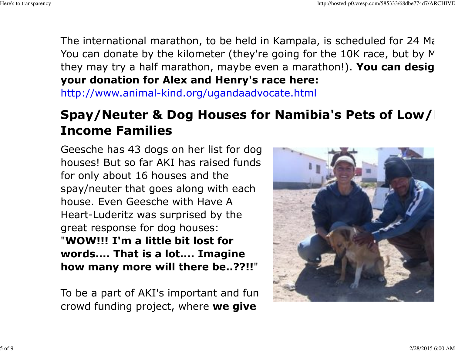The international marathon, to be held in Kampala, is scheduled for 24 Mag You can donate by the kilometer (they're going for the 10K race, but by  $M$ they may try a half marathon, maybe even a marathon!). You can desig your donation for Alex and Henry's race here:http://www.animal-kind.org/ugandaadvocate.html

## Spay/Neuter & Dog Houses for Namibia's Pets of Low/ $\mid$ Income Families

Geesche has 43 dogs on her list for dog houses! But so far AKI has raised fundsfor only about 16 houses and the spay/neuter that goes along with eachhouse. Even Geesche with Have A Heart-Luderitz was surprised by thegreat response for dog houses: "WOW!!! I'm a little bit lost for words.... That is a lot.... Imaginehow many more will there be..??!!"

To be a part of AKI's important and funcrowd funding project, where **we give** 

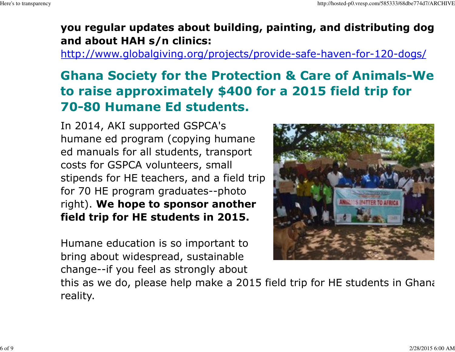### you regular updates about building, painting, and distributing dog hand about HAH s/n clinics:

http://www.globalgiving.org/projects/provide-safe-haven-for-120-dogs/

# Ghana Society for the Protection & Care of Animals-We nto raise approximately \$400 for a 2015 field trip for70-80 Humane Ed students.

In 2014, AKI supported GSPCA's humane ed program (copying humane ed manuals for all students, transportcosts for GSPCA volunteers, smallstipends for HE teachers, and a field tripfor 70 HE program graduates--photoright). **We hope to sponsor another** field trip for HE students in 2015.

Humane education is so important to bring about widespread, sustainablechange--if you feel as strongly about



this as we do, please help make a 2015 field trip for HE students in Ghana reality.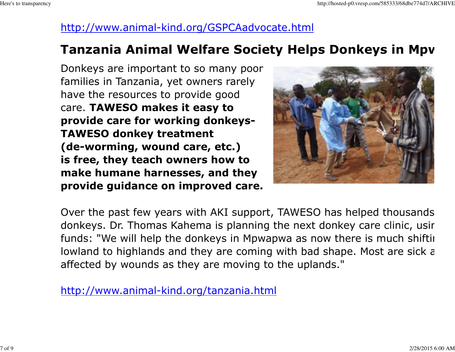### http://www.animal-kind.org/GSPCAadvocate.html

### Tanzania Animal Welfare Society Helps Donkeys in Mpwa

Donkeys are important to so many poorfamilies in Tanzania, yet owners rarelyhave the resources to provide good care. TAWESO makes it easy to provide care for working donkeys-TAWESO donkey treatment (de-worming, wound care, etc.) is free, they teach owners how to make humane harnesses, and theyprovide guidance on improved care.



Over the past few years with AKI support, TAWESO has helped thousands donkeys. Dr. Thomas Kahema is planning the next donkey care clinic, usir funds: "We will help the donkeys in Mpwapwa as now there is much shifting lowland to highlands and they are coming with bad shape. Most are sick a affected by wounds as they are moving to the uplands."

http://www.animal-kind.org/tanzania.html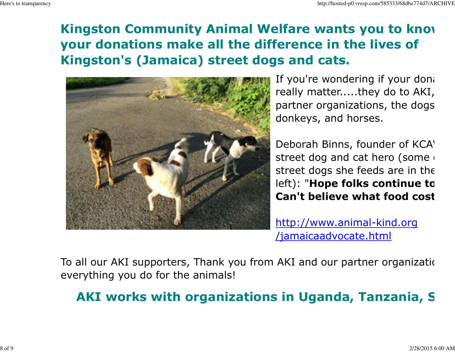## Kingston Community Animal Welfare wants you to know your donations make all the difference in the lives ofKingston's (Jamaica) street dogs and cats.



If you're wondering if your dona really matter.....they do to AKI, partner organizations, the dogs, donkeys, and horses.

Deborah Binns, founder of KCA' street dog and cat hero (some  $\overline{\ }$ street dogs she feeds are in the left): "Hope folks continue to Can't believe what food cost

http://www.animal-kind.org/jamaicaadvocate.html

To all our AKI supporters, Thank you from AKI and our partner organization everything you do for the animals!

## AKI works with organizations in Uganda, Tanzania, S